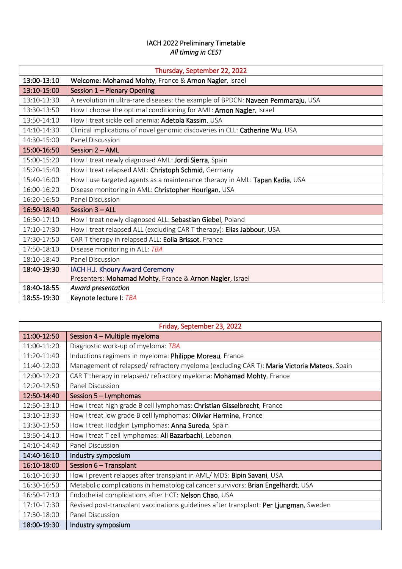## IACH 2022 Preliminary Timetable *All timing in CEST*

| Thursday, September 22, 2022 |                                                                                  |  |
|------------------------------|----------------------------------------------------------------------------------|--|
| 13:00-13:10                  | Welcome: Mohamad Mohty, France & Arnon Nagler, Israel                            |  |
| 13:10-15:00                  | Session 1 - Plenary Opening                                                      |  |
| 13:10-13:30                  | A revolution in ultra-rare diseases: the example of BPDCN: Naveen Pemmaraju, USA |  |
| 13:30-13:50                  | How I choose the optimal conditioning for AML: Arnon Nagler, Israel              |  |
| 13:50-14:10                  | How I treat sickle cell anemia: Adetola Kassim, USA                              |  |
| 14:10-14:30                  | Clinical implications of novel genomic discoveries in CLL: Catherine Wu, USA     |  |
| 14:30-15:00                  | Panel Discussion                                                                 |  |
| 15:00-16:50                  | Session 2 - AML                                                                  |  |
| 15:00-15:20                  | How I treat newly diagnosed AML: Jordi Sierra, Spain                             |  |
| 15:20-15:40                  | How I treat relapsed AML: Christoph Schmid, Germany                              |  |
| 15:40-16:00                  | How I use targeted agents as a maintenance therapy in AML: Tapan Kadia, USA      |  |
| 16:00-16:20                  | Disease monitoring in AML: Christopher Hourigan, USA                             |  |
| 16:20-16:50                  | Panel Discussion                                                                 |  |
| 16:50-18:40                  | Session $3 - ALL$                                                                |  |
| 16:50-17:10                  | How I treat newly diagnosed ALL: Sebastian Giebel, Poland                        |  |
| 17:10-17:30                  | How I treat relapsed ALL (excluding CAR T therapy): Elias Jabbour, USA           |  |
| 17:30-17:50                  | CAR T therapy in relapsed ALL: Eolia Brissot, France                             |  |
| 17:50-18:10                  | Disease monitoring in ALL: TBA                                                   |  |
| 18:10-18:40                  | <b>Panel Discussion</b>                                                          |  |
| 18:40-19:30                  | IACH H.J. Khoury Award Ceremony                                                  |  |
|                              | Presenters: Mohamad Mohty, France & Arnon Nagler, Israel                         |  |
| 18:40-18:55                  | Award presentation                                                               |  |
| 18:55-19:30                  | Keynote lecture I: TBA                                                           |  |

| Friday, September 23, 2022 |                                                                                            |  |
|----------------------------|--------------------------------------------------------------------------------------------|--|
| 11:00-12:50                | Session 4 - Multiple myeloma                                                               |  |
| 11:00-11:20                | Diagnostic work-up of myeloma: TBA                                                         |  |
| $11:20-11:40$              | Inductions regimens in myeloma: Philippe Moreau, France                                    |  |
| 11:40-12:00                | Management of relapsed/ refractory myeloma (excluding CAR T): Maria Victoria Mateos, Spain |  |
| 12:00-12:20                | CAR T therapy in relapsed/refractory myeloma: Mohamad Mohty, France                        |  |
| 12:20-12:50                | Panel Discussion                                                                           |  |
| 12:50-14:40                | Session 5 - Lymphomas                                                                      |  |
| 12:50-13:10                | How I treat high grade B cell lymphomas: Christian Gisselbrecht, France                    |  |
| 13:10-13:30                | How I treat low grade B cell lymphomas: Olivier Hermine, France                            |  |
| 13:30-13:50                | How I treat Hodgkin Lymphomas: Anna Sureda, Spain                                          |  |
| 13:50-14:10                | How I treat T cell lymphomas: Ali Bazarbachi, Lebanon                                      |  |
| 14:10-14:40                | Panel Discussion                                                                           |  |
| 14:40-16:10                | Industry symposium                                                                         |  |
| 16:10-18:00                | Session 6 - Transplant                                                                     |  |
| 16:10-16:30                | How I prevent relapses after transplant in AML/ MDS: Bipin Savani, USA                     |  |
| 16:30-16:50                | Metabolic complications in hematological cancer survivors: Brian Engelhardt, USA           |  |
| 16:50-17:10                | Endothelial complications after HCT: Nelson Chao, USA                                      |  |
| 17:10-17:30                | Revised post-transplant vaccinations guidelines after transplant: Per Ljungman, Sweden     |  |
| 17:30-18:00                | <b>Panel Discussion</b>                                                                    |  |
| 18:00-19:30                | Industry symposium                                                                         |  |